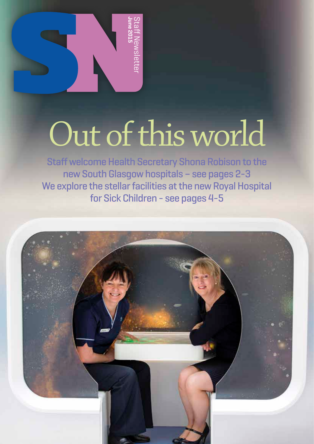

## Out of this world

Staff welcome Health Secretary Shona Robison to the new South Glasgow hospitals – see pages 2-3 We explore the stellar facilities at the new Royal Hospital for Sick Children - see pages 4-5

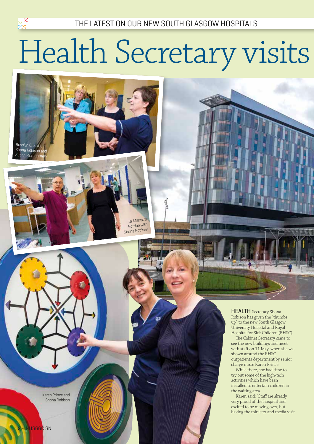### Health Secretary visits



Dr Malcolm Gordon with Shona Robison

Karen Prince and Shona Robison

**HEALTH** Secretary Shona Robison has given the "thumbs up" to the new South Glasgow University Hospital and Royal Hospital for Sick Children (RHSC).

The Cabinet Secretary came to see the new buildings and meet with staff on 11 May, when she was shown around the RHSC outpatients department by senior charge nurse Karen Prince.

While there, she had time to try out some of the high-tech activities which have been installed to entertain children in the waiting area.

Karen said: "Staff are already very proud of the hospital and excited to be moving over, but having the minister and media visit

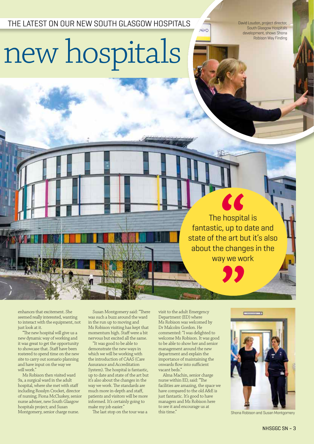THE LATEST ON OUR NEW SOUTH GLASGOW HOSPITALS

David Loudon, project director, South Glasgow Hospitals development, shows Shona Robison Way Finding

HDO

## new hospitals

The hospital is fantastic, up to date and state of the art but it's also about the changes in the way we work

**CE** 

enhances that excitement. She seemed really interested, wanting to interact with the equipment, not just look at it.

"The new hospital will give us a new dynamic way of working and it was great to get the opportunity to showcase that. Staff have been rostered to spend time on the new site to carry out scenario planning and have input on the way we will work."

Ms Robison then visited ward 9a, a surgical ward in the adult hospital, where she met with staff including Rosslyn Crocket, director of nursing; Fiona McCluskey, senior nurse adviser, new South Glasgow hospitals project; and Susan Montgomery, senior charge nurse.

Susan Montgomery said: "There was such a buzz around the ward in the run up to moving and Ms Robison visiting has kept that momentum high. Staff were a bit nervous but excited all the same.

"It was good to be able to demonstrate the new ways in which we will be working with the introduction of CAAS (Care Assurance and Accreditation System). The hospital is fantastic, up to date and state of the art but it's also about the changes in the way we work. The standards are much more in-depth and staff, patients and visitors will be more informed. It's certainly going to make my job easier."

The last stop on the tour was a

visit to the adult Emergency Department (ED) where Ms Robison was welcomed by Dr Malcolm Gordon. He commented: "I was delighted to welcome Ms Robison. It was good to be able to show her and senior management around the new department and explain the importance of maintaining the onwards flow into sufficient vacant beds."

Alma Machin, senior charge nurse within ED, said: "The facilities are amazing, the space we have compared to the old A&E is just fantastic. It's good to have managers and Ms Robison here to see it and encourage us at this time."



Shona Robison and Susan Montgomery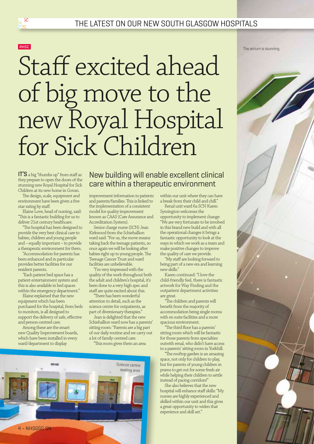

 $\frac{1}{20}$ 

### Staff excited ahead of big move to the new Royal Hospital for Sick Children

IT'S a big "thumbs up" from staff as they prepare to open the doors of the stunning new Royal Hospital for Sick Children at its new home in Govan.

The design, scale, equipment and environment have been given a five star rating by staff.

Elaine Love, head of nursing, said: "This is a fantastic building for us to deliver 21st century healthcare.

"The hospital has been designed to provide the very best clinical care to babies, children and young people and – equally important – to provide a therapeutic environment for them.

"Accommodation for parents has been enhanced and in particular provides better facilities for our resident parents.

"Each patient bed space has a patient entertainment system and this is also available in bed spaces within the emergency department."

Elaine explained that the new equipment which has been purchased for the hospital, from beds to monitors, is all designed to support the delivery of safe, effective and person-centred care.

Among these are the smart new Quality Improvement boards, which have been installed in every ward/department to display

New building will enable excellent clinical care within a therapeutic environment

improvement information to patients and parents/families. This is linked to the implementation of a consistent model for quality improvement known as CAAS (Care Assurance and Accreditation System).

Senior charge nurse (SCN) Jean Kirkwood from the Schiehallion ward said: "For us, the move means taking back the teenage patients, so once again we will be looking after babies right up to young people. The Teenage Cancer Trust and ward facilities are unbelievable.

"I'm very impressed with the quality of the work throughout both the adult and children's hospital, it's been done to a very high spec and staff are quite excited about this.

"There has been wonderful attention to detail, such as the science centre for outpatients, as part of diversionary therapies."

Jean is delighted that the new Schiehallion ward now has a parents' sitting room: "Parents are a big part of our daily routine and we carry out a lot of family-centred care.

"This room gives them an area

within our unit where they can have a break from their child and chill." Renal unit ward 6a SCN Karen

Symington welcomes the opportunity to implement change:

"We are very fortunate to be involved in this brand new build and with all the operational changes it brings a fantastic opportunity to look at the ways in which we work as a team and make positive changes to improve the quality of care we provide.

"My staff are looking forward to being part of a new era and learning new skills."

Karen continued: "I love the child-friendly feel, there is fantastic artwork for Way Finding and the outpatient department activities are great.

"The children and parents will benefit from the majority of accommodation being single rooms with en suite facilities and a more spacious environment.

"The third floor has a parents' sitting room which will be fantastic for those parents from specialties outwith renal, who didn't have access to a parents' sitting room in Yorkhill.

"The rooftop garden is an amazing space, not only for children to play, but for parents of young children in prams to get out for some fresh air while helping their children to settle instead of pacing corridors!"

She also believes that the new hospital will enhance staff skills: "My nurses are highly experienced and skilled within our unit and this gives a great opportunity to widen that experience and skill set."

The atrium is stunning



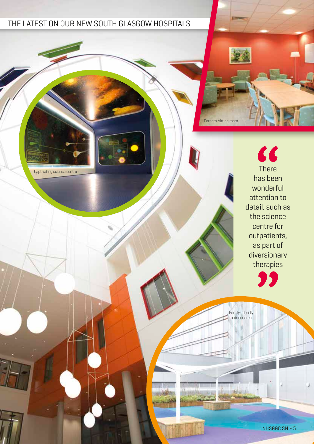#### THE LATEST ON OUR NEW SOUTH GLASGOW HOSPITALS

Captivating science centre

Parents' sitting room

 $\epsilon$ There has been wonderful attention to detail, such as the science centre for outpatients, as part of diversionary therapies

77

Family-friendly outdoor area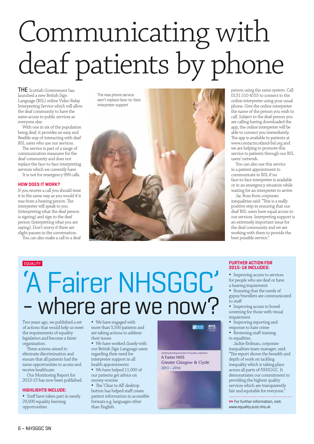### Communicating with deaf patients by phone

THE Scottish Government has launched a new British Sign Language (BSL) online Video Relay Interpreting Service which will allow the deaf community to have the same access to public services as everyone else.

With one in six of the population being deaf, it provides an easy and flexible way of interacting with deaf BSL users who use our services.

The service is part of a range of communication measures for the deaf community and does not replace the face-to-face interpreting services which we currently have. It is not for emergency 999 calls.

#### **HOW DOES IT WORK?**

If you receive a call you should treat it in the same way as you would if it was from a hearing person. The interpreter will speak to you (interpreting what the deaf person is signing) and sign to the deaf person (interpreting what you are saying). Don't worry if there are slight pauses in the conversation.

You can also make a call to a deaf

The new phone service won't replace face-to-face interpreter support



person using the same system. Call 0131 510 4555 to connect to the online interpreter using your usual phone. Give the online interpreter the name of the person you wish to call. Subject to the deaf person you are calling having downloaded the app, the online interpreter will be able to connect you immediately. The app is available to patients at www.contactscotland-bsl.org and we are helping to promote this service to patients through our BSL users' network.

You can also use this service in a patient appointment to communicate in BSL if no face-to-face interpreter is available or in an emergency situation while waiting for an interpreter to arrive.

Jac Ross from corporate inequalities said: "This is a really positive step in ensuring that our deaf BSL users have equal access to our services. Interpreting support is an extremely important issue for the deaf community and we are working with them to provide the best possible service."

### **EQUALITY** 'A Fairer NHSGGC' - where are we now?

Two years ago, we published a set of actions that would help us meet the requirements of equality legislation and become a fairer organisation.

These actions aimed to eliminate discrimination and ensure that all patients had the same opportunities to access and receive healthcare.

Our Monitoring Report for 2013-15 has now been published.

#### **HIGHLIGHTS INCLUDE:**

• Staff have taken part in nearly 29,000 equality learning opportunities

• We have engaged with more than 5,500 patients and are taking actions to address their issues

• We have worked closely with our British Sign Language users regarding their need for interpreter support in all

health appointments We have helped 11,000 of our patients get advice on

money worries

• The 'Clear to All' desktop button has helped staff create patient information in accessible formats e.g. languages other than English.



deg the Requirements of Equality Legislation A Fairer NHS **Greater Glasgow & Clyde**  $2013 - 2016$ 



#### **FURTHER ACTION FOR 2015-16 INCLUDES:**

• Improving access to services for people who are deaf or have a hearing impairment

• Ensuring that the needs of gypsy/travellers are communicated to staff

• Improving access to bowel screening for those with visual impairment

• Improving reporting and response to hate crime

• Reviewing staff training

in equalities.

Jackie Erdman, corporate inequalities team manager, said: "The report shows the breadth and depth of work on tackling inequality which is taking place across all parts of NHSGGC. It demonstrates our commitment to providing the highest quality services which are transparently fair and equitable for everyone.

**>>** For further information, visit: www.equality.scot.nhs.uk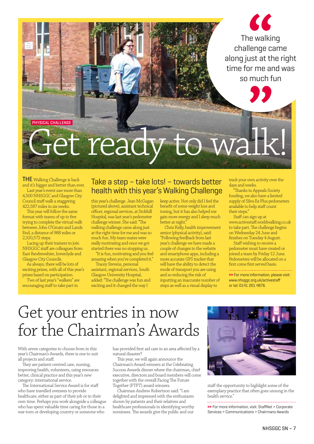The walking challenge came along just at the right time for me and was so much fun

PHYSICAL CHALLENGE

## Get ready to walk!

THE Walking Challenge is back and it's bigger and better than ever.

Last year's event saw more than 4,500 NHSGGC and Glasgow City Council staff walk a staggering 422,587 miles in six weeks.

This year will follow the same format with teams of up to five trying to complete the virtual walk between John O'Groats and Lands End, a distance of 988 miles or 2,320,572 steps.

Lacing up their trainers to join NHSGGC staff are colleagues from East Renfrewshire, Inverclyde and Glasgow City Councils.

As always, there will be lots of exciting prizes, with all of this year's prizes based on participation.

Two of last year's "walkers" are encouraging staff to take part in

#### Take a step – take lots! – towards better health with this year's Walking Challenge

this year's challenge. Jean McGugan (pictured above), assistant technical officer, regional services, at Stobhill Hospital, was last year's pedometer challenge winner. She said: "The walking challenge came along just at the right time for me and was so much fun. My team mates were really motivating and once we got started there was no stopping us.

"It is fun, motivating and you feel amazing when you've completed it."

Tracey Stevens, personal assistant, regional services, South Glasgow University Hospital, added: "The challenge was fun and exciting and it changed the way I

keep active. Not only did I feel the benefit of some weight loss and toning, but it has also helped me gain more energy and I sleep much better at night.

Chris Kelly, health improvement senior (physical activity), said: "Following feedback from last year's challenge we have made a couple of changes to the website and smartphone apps, including a more accurate GPS tracker that will have the ability to detect the mode of transport you are using and so reducing the risk of inputting an inaccurate number of steps as well as a visual display to

track your own activity over the days and weeks.

"Thanks to Appeals Society funding, we also have a limited supply of Silva Ex Plus pedometers available to help staff count their steps."

Staff can sign up at www.activestaff.worldwalking.co.uk to take part. The challenge begins on Wednesday 24 June and finishes on Tuesday 4 August.

Staff wishing to receive a pedometer must have created or joined a team by Friday 12 June. Pedometers will be allocated on a first come first served basis.

**>>** For more information, please visit: www.nhsggc.org.uk/activestaff or tel: 0141 201 4876.

### Get your entries in now for the Chairman's Awards

With seven categories to choose from in this year's Chairman's Awards, there is one to suit all projects and staff.

They are patient-centred care, nursing, improving health, volunteers, using resources better, clinical practice and this year's new category: international service.

The International Service Award is for staff who have travelled oversees to provide healthcare, either as part of their job or in their own time. Perhaps you work alongside a colleague who has spent valuable time caring for those in a war-torn or developing country or someone who

has provided first aid care in an area affected by a natural disaster?

This year, we will again announce the Chairman's Award winners at the Celebrating Success Awards dinner where the chairman, chief executive, directors and board members will come together with the overall Facing The Future Together (FTFT) award winners.

Chairman Andrew Robertson said: "I am delighted and impressed with the enthusiasm shown by patients and their relatives and healthcare professionals in identifying worthy nominees. The awards give the public and our



staff the opportunity to highlight some of the exemplary practice that often goes unsung in the health service."

**>>** For more information, visit: StaffNet > Corporate Services > Communications > Chairmans Awards